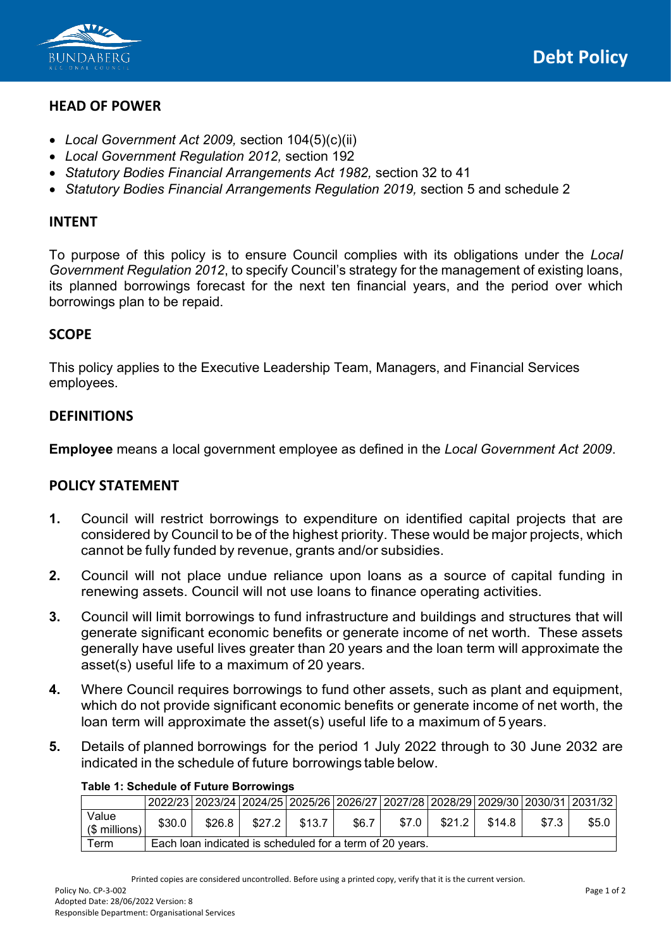

### **HEAD OF POWER**

- *Local Government Act 2009,* section 104(5)(c)(ii)
- *Local Government Regulation 2012,* section 192
- *Statutory Bodies Financial Arrangements Act 1982,* section 32 to 41
- *Statutory Bodies Financial Arrangements Regulation 2019,* section 5 and schedule 2

### **INTENT**

To purpose of this policy is to ensure Council complies with its obligations under the *Local Government Regulation 2012*, to specify Council's strategy for the management of existing loans, its planned borrowings forecast for the next ten financial years, and the period over which borrowings plan to be repaid.

## **SCOPE**

This policy applies to the Executive Leadership Team, Managers, and Financial Services employees.

### **DEFINITIONS**

**Employee** means a local government employee as defined in the *Local Government Act 2009*.

### **POLICY STATEMENT**

- **1.** Council will restrict borrowings to expenditure on identified capital projects that are considered by Council to be of the highest priority. These would be major projects, which cannot be fully funded by revenue, grants and/or subsidies.
- **2.** Council will not place undue reliance upon loans as a source of capital funding in renewing assets. Council will not use loans to finance operating activities.
- **3.** Council will limit borrowings to fund infrastructure and buildings and structures that will generate significant economic benefits or generate income of net worth. These assets generally have useful lives greater than 20 years and the loan term will approximate the asset(s) useful life to a maximum of 20 years.
- **4.** Where Council requires borrowings to fund other assets, such as plant and equipment, which do not provide significant economic benefits or generate income of net worth, the loan term will approximate the asset(s) useful life to a maximum of 5 years.
- **5.** Details of planned borrowings for the period 1 July 2022 through to 30 June 2032 are indicated in the schedule of future borrowings table below.

|                        |                                                          |         |          |        |       |         |        |        |       | 2022/23   2023/24   2024/25   2025/26   2026/27   2027/28   2028/29   2029/30   2030/31   2031/32 |
|------------------------|----------------------------------------------------------|---------|----------|--------|-------|---------|--------|--------|-------|---------------------------------------------------------------------------------------------------|
| Value<br>(\$ millions, | \$30.0                                                   | $$26.8$ | \$27.2 I | \$13.7 | \$6.7 | \$7.0 l | \$21.2 | \$14.8 | \$7.3 | \$5.0                                                                                             |
| $\tau$ erm             | Each loan indicated is scheduled for a term of 20 years. |         |          |        |       |         |        |        |       |                                                                                                   |

#### **Table 1: Schedule of Future Borrowings**